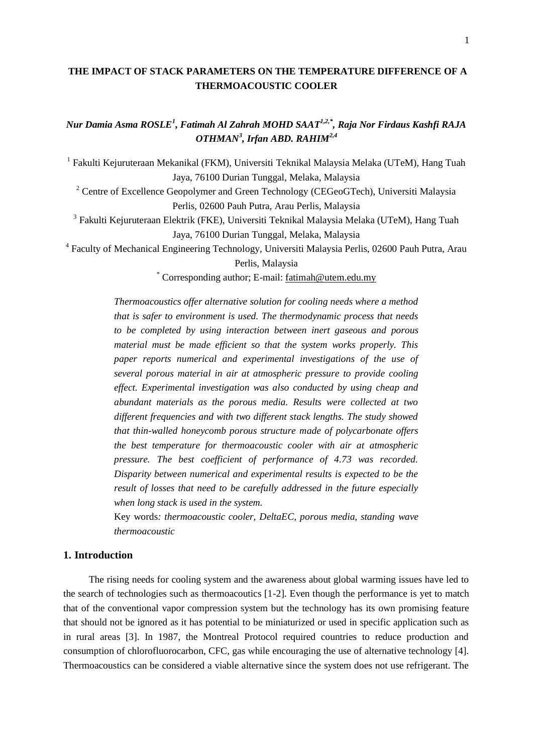# **THE IMPACT OF STACK PARAMETERS ON THE TEMPERATURE DIFFERENCE OF A THERMOACOUSTIC COOLER**

*Nur Damia Asma ROSLE<sup>1</sup> , Fatimah Al Zahrah MOHD SAAT1,2,\*, Raja Nor Firdaus Kashfi RAJA OTHMAN<sup>3</sup> , Irfan ABD. RAHIM2,4*

<sup>1</sup> Fakulti Kejuruteraan Mekanikal (FKM), Universiti Teknikal Malaysia Melaka (UTeM), Hang Tuah Jaya, 76100 Durian Tunggal, Melaka, Malaysia

<sup>2</sup> Centre of Excellence Geopolymer and Green Technology (CEGeoGTech), Universiti Malaysia Perlis, 02600 Pauh Putra, Arau Perlis, Malaysia

<sup>3</sup> Fakulti Kejuruteraan Elektrik (FKE), Universiti Teknikal Malaysia Melaka (UTeM), Hang Tuah Jaya, 76100 Durian Tunggal, Melaka, Malaysia

4 Faculty of Mechanical Engineering Technology, Universiti Malaysia Perlis, 02600 Pauh Putra, Arau Perlis, Malaysia

\* Corresponding author; E-mail: [fatimah@utem.edu.my](mailto:fatimah@utem.edu.my)

*Thermoacoustics offer alternative solution for cooling needs where a method that is safer to environment is used. The thermodynamic process that needs to be completed by using interaction between inert gaseous and porous material must be made efficient so that the system works properly. This paper reports numerical and experimental investigations of the use of several porous material in air at atmospheric pressure to provide cooling effect. Experimental investigation was also conducted by using cheap and abundant materials as the porous media. Results were collected at two different frequencies and with two different stack lengths. The study showed that thin-walled honeycomb porous structure made of polycarbonate offers the best temperature for thermoacoustic cooler with air at atmospheric pressure. The best coefficient of performance of 4.73 was recorded. Disparity between numerical and experimental results is expected to be the result of losses that need to be carefully addressed in the future especially when long stack is used in the system.*

Key words*: thermoacoustic cooler, DeltaEC, porous media, standing wave thermoacoustic*

# **1. Introduction**

The rising needs for cooling system and the awareness about global warming issues have led to the search of technologies such as thermoacoutics [1-2]. Even though the performance is yet to match that of the conventional vapor compression system but the technology has its own promising feature that should not be ignored as it has potential to be miniaturized or used in specific application such as in rural areas [3]. In 1987, the Montreal Protocol required countries to reduce production and consumption of chlorofluorocarbon, CFC, gas while encouraging the use of alternative technology [4]. Thermoacoustics can be considered a viable alternative since the system does not use refrigerant. The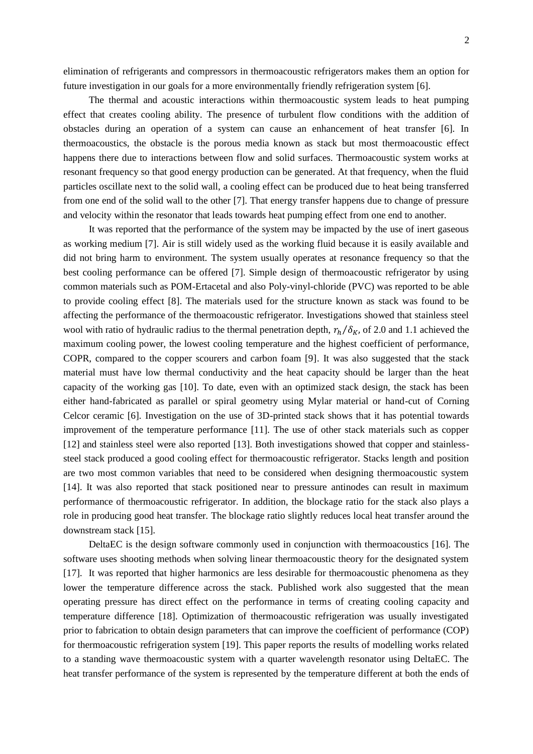elimination of refrigerants and compressors in thermoacoustic refrigerators makes them an option for future investigation in our goals for a more environmentally friendly refrigeration system [6].

The thermal and acoustic interactions within thermoacoustic system leads to heat pumping effect that creates cooling ability. The presence of turbulent flow conditions with the addition of obstacles during an operation of a system can cause an enhancement of heat transfer [6]. In thermoacoustics, the obstacle is the porous media known as stack but most thermoacoustic effect happens there due to interactions between flow and solid surfaces. Thermoacoustic system works at resonant frequency so that good energy production can be generated. At that frequency, when the fluid particles oscillate next to the solid wall, a cooling effect can be produced due to heat being transferred from one end of the solid wall to the other [7]. That energy transfer happens due to change of pressure and velocity within the resonator that leads towards heat pumping effect from one end to another.

It was reported that the performance of the system may be impacted by the use of inert gaseous as working medium [7]. Air is still widely used as the working fluid because it is easily available and did not bring harm to environment. The system usually operates at resonance frequency so that the best cooling performance can be offered [7]. Simple design of thermoacoustic refrigerator by using common materials such as POM-Ertacetal and also Poly-vinyl-chloride (PVC) was reported to be able to provide cooling effect [8]. The materials used for the structure known as stack was found to be affecting the performance of the thermoacoustic refrigerator. Investigations showed that stainless steel wool with ratio of hydraulic radius to the thermal penetration depth,  $r_h/\delta_K$ , of 2.0 and 1.1 achieved the maximum cooling power, the lowest cooling temperature and the highest coefficient of performance, COPR, compared to the copper scourers and carbon foam [9]. It was also suggested that the stack material must have low thermal conductivity and the heat capacity should be larger than the heat capacity of the working gas [10]. To date, even with an optimized stack design, the stack has been either hand-fabricated as parallel or spiral geometry using Mylar material or hand-cut of Corning Celcor ceramic [6]. Investigation on the use of 3D-printed stack shows that it has potential towards improvement of the temperature performance [11]. The use of other stack materials such as copper [12] and stainless steel were also reported [13]. Both investigations showed that copper and stainlesssteel stack produced a good cooling effect for thermoacoustic refrigerator. Stacks length and position are two most common variables that need to be considered when designing thermoacoustic system [14]. It was also reported that stack positioned near to pressure antinodes can result in maximum performance of thermoacoustic refrigerator. In addition, the blockage ratio for the stack also plays a role in producing good heat transfer. The blockage ratio slightly reduces local heat transfer around the downstream stack [15].

DeltaEC is the design software commonly used in conjunction with thermoacoustics [16]. The software uses shooting methods when solving linear thermoacoustic theory for the designated system [17]. It was reported that higher harmonics are less desirable for thermoacoustic phenomena as they lower the temperature difference across the stack. Published work also suggested that the mean operating pressure has direct effect on the performance in terms of creating cooling capacity and temperature difference [18]. Optimization of thermoacoustic refrigeration was usually investigated prior to fabrication to obtain design parameters that can improve the coefficient of performance (COP) for thermoacoustic refrigeration system [19]. This paper reports the results of modelling works related to a standing wave thermoacoustic system with a quarter wavelength resonator using DeltaEC. The heat transfer performance of the system is represented by the temperature different at both the ends of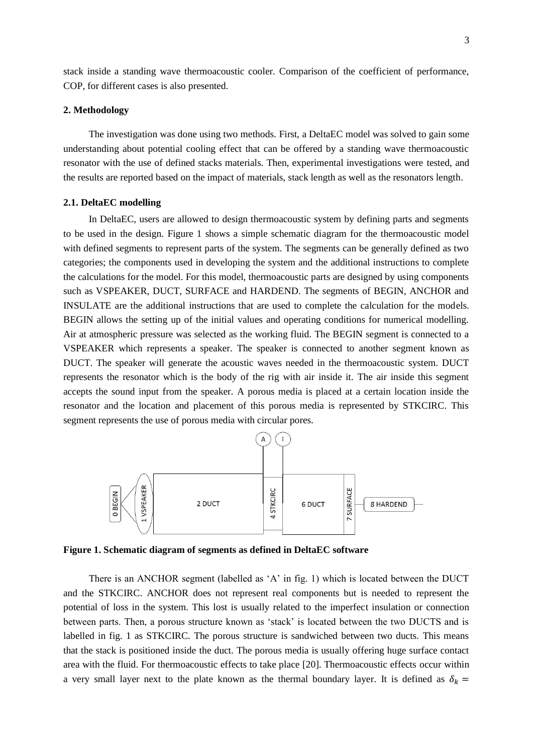stack inside a standing wave thermoacoustic cooler. Comparison of the coefficient of performance, COP, for different cases is also presented.

#### **2. Methodology**

The investigation was done using two methods. First, a DeltaEC model was solved to gain some understanding about potential cooling effect that can be offered by a standing wave thermoacoustic resonator with the use of defined stacks materials. Then, experimental investigations were tested, and the results are reported based on the impact of materials, stack length as well as the resonators length.

### **2.1. DeltaEC modelling**

In DeltaEC, users are allowed to design thermoacoustic system by defining parts and segments to be used in the design. Figure 1 shows a simple schematic diagram for the thermoacoustic model with defined segments to represent parts of the system. The segments can be generally defined as two categories; the components used in developing the system and the additional instructions to complete the calculations for the model. For this model, thermoacoustic parts are designed by using components such as VSPEAKER, DUCT, SURFACE and HARDEND. The segments of BEGIN, ANCHOR and INSULATE are the additional instructions that are used to complete the calculation for the models. BEGIN allows the setting up of the initial values and operating conditions for numerical modelling. Air at atmospheric pressure was selected as the working fluid. The BEGIN segment is connected to a VSPEAKER which represents a speaker. The speaker is connected to another segment known as DUCT. The speaker will generate the acoustic waves needed in the thermoacoustic system. DUCT represents the resonator which is the body of the rig with air inside it. The air inside this segment accepts the sound input from the speaker. A porous media is placed at a certain location inside the resonator and the location and placement of this porous media is represented by STKCIRC. This segment represents the use of porous media with circular pores.



**Figure 1. Schematic diagram of segments as defined in DeltaEC software**

There is an ANCHOR segment (labelled as 'A' in fig. 1) which is located between the DUCT and the STKCIRC. ANCHOR does not represent real components but is needed to represent the potential of loss in the system. This lost is usually related to the imperfect insulation or connection between parts. Then, a porous structure known as 'stack' is located between the two DUCTS and is labelled in fig. 1 as STKCIRC. The porous structure is sandwiched between two ducts. This means that the stack is positioned inside the duct. The porous media is usually offering huge surface contact area with the fluid. For thermoacoustic effects to take place [20]. Thermoacoustic effects occur within a very small layer next to the plate known as the thermal boundary layer. It is defined as  $\delta_k$  =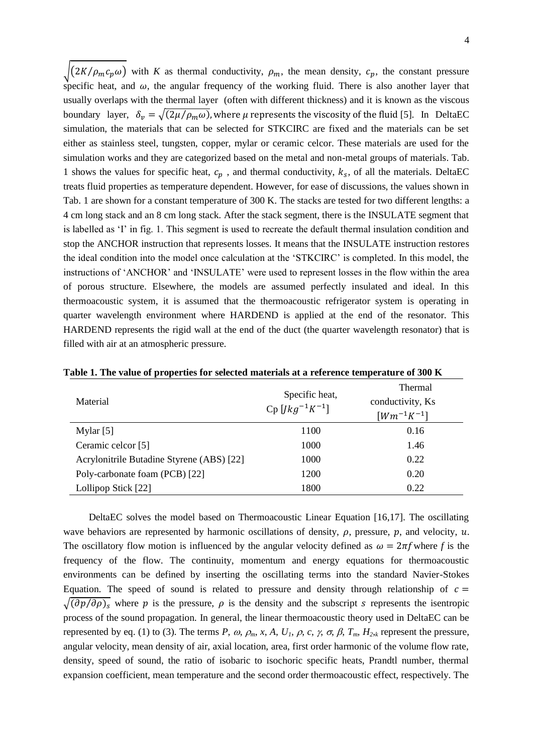$\sqrt{(2K/\rho_m c_p \omega)}$  with *K* as thermal conductivity,  $\rho_m$ , the mean density,  $c_p$ , the constant pressure specific heat, and  $\omega$ , the angular frequency of the working fluid. There is also another layer that usually overlaps with the thermal layer (often with different thickness) and it is known as the viscous boundary layer,  $\delta_v = \sqrt{(2\mu/\rho_m \omega)}$ , where  $\mu$  represents the viscosity of the fluid [5]. In DeltaEC simulation, the materials that can be selected for STKCIRC are fixed and the materials can be set either as stainless steel, tungsten, copper, mylar or ceramic celcor. These materials are used for the simulation works and they are categorized based on the metal and non-metal groups of materials. Tab. 1 shows the values for specific heat,  $c_n$ , and thermal conductivity,  $k_s$ , of all the materials. DeltaEC treats fluid properties as temperature dependent. However, for ease of discussions, the values shown in Tab. 1 are shown for a constant temperature of 300 K. The stacks are tested for two different lengths: a 4 cm long stack and an 8 cm long stack. After the stack segment, there is the INSULATE segment that is labelled as 'I' in fig. 1. This segment is used to recreate the default thermal insulation condition and stop the ANCHOR instruction that represents losses. It means that the INSULATE instruction restores the ideal condition into the model once calculation at the 'STKCIRC' is completed. In this model, the instructions of 'ANCHOR' and 'INSULATE' were used to represent losses in the flow within the area of porous structure. Elsewhere, the models are assumed perfectly insulated and ideal. In this thermoacoustic system, it is assumed that the thermoacoustic refrigerator system is operating in quarter wavelength environment where HARDEND is applied at the end of the resonator. This HARDEND represents the rigid wall at the end of the duct (the quarter wavelength resonator) that is filled with air at an atmospheric pressure.

| Material                                  | Specific heat,<br>$Cp$ [ <i>Jkg</i> <sup>-1</sup> <i>K</i> <sup>-1</sup> ] | Thermal<br>conductivity, Ks<br>$[Wm^{-1}K^{-1}]$ |
|-------------------------------------------|----------------------------------------------------------------------------|--------------------------------------------------|
| Mylar $[5]$                               | 1100                                                                       | 0.16                                             |
| Ceramic celcor [5]                        | 1000                                                                       | 1.46                                             |
| Acrylonitrile Butadine Styrene (ABS) [22] | 1000                                                                       | 0.22                                             |
| Poly-carbonate foam (PCB) [22]            | 1200                                                                       | 0.20                                             |
| Lollipop Stick [22]                       | 1800                                                                       | 0.22                                             |

**Table 1. The value of properties for selected materials at a reference temperature of 300 K**

DeltaEC solves the model based on Thermoacoustic Linear Equation [16,17]. The oscillating wave behaviors are represented by harmonic oscillations of density,  $\rho$ , pressure,  $p$ , and velocity,  $u$ . The oscillatory flow motion is influenced by the angular velocity defined as  $\omega = 2\pi f$  where *f* is the frequency of the flow. The continuity, momentum and energy equations for thermoacoustic environments can be defined by inserting the oscillating terms into the standard Navier-Stokes Equation. The speed of sound is related to pressure and density through relationship of  $c =$  $\sqrt{(\partial p/\partial \rho)_s}$  where p is the pressure, p is the density and the subscript s represents the isentropic process of the sound propagation. In general, the linear thermoacoustic theory used in DeltaEC can be represented by eq. (1) to (3). The terms *P*,  $\omega$ ,  $\rho_m$ , x, A, U<sub>1</sub>,  $\rho$ , c,  $\gamma$ ,  $\sigma$ ,  $\beta$ ,  $T_m$ ,  $H_{2,k}$  represent the pressure, angular velocity, mean density of air, axial location, area, first order harmonic of the volume flow rate, density, speed of sound, the ratio of isobaric to isochoric specific heats, Prandtl number, thermal expansion coefficient, mean temperature and the second order thermoacoustic effect, respectively. The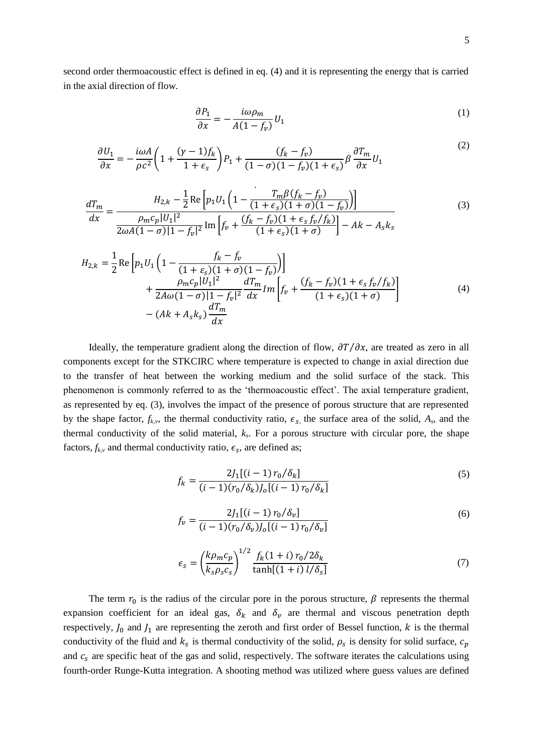second order thermoacoustic effect is defined in eq. (4) and it is representing the energy that is carried in the axial direction of flow.

$$
\frac{\partial P_1}{\partial x} = -\frac{i\omega \rho_m}{A(1 - f_v)} U_1 \tag{1}
$$

$$
\frac{\partial U_1}{\partial x} = -\frac{i\omega A}{\rho c^2} \left( 1 + \frac{(\gamma - 1)f_k}{1 + \epsilon_s} \right) P_1 + \frac{(f_k - f_v)}{(1 - \sigma)(1 - f_v)(1 + \epsilon_s)} \beta \frac{\partial T_m}{\partial x} U_1 \tag{2}
$$

$$
\frac{dT_m}{dx} = \frac{H_{2,k} - \frac{1}{2} \text{Re} \left[ p_1 U_1 \left( 1 - \frac{T_m \beta (f_k - f_v)}{(1 + \epsilon_s)(1 + \sigma)(1 - f_v)} \right) \right]}{p_m c_p |U_1|^2} \frac{\rho_m c_p |U_1|^2}{2 \omega A (1 - \sigma) |1 - f_v|^2} \text{Im} \left[ f_v + \frac{(f_k - f_v)(1 + \epsilon_s f_v / f_k)}{(1 + \epsilon_s)(1 + \sigma)} \right] - Ak - A_s k_s} \tag{3}
$$

$$
H_{2,k} = \frac{1}{2} \text{Re} \left[ p_1 U_1 \left( 1 - \frac{f_k - f_v}{(1 + \varepsilon_s)(1 + \sigma)(1 - f_v)} \right) \right] + \frac{\rho_m c_p |U_1|^2}{2A\omega(1 - \sigma)|1 - f_v|^2} \frac{dT_m}{dx} Im \left[ f_v + \frac{(f_k - f_v)(1 + \varepsilon_s f_v / f_k)}{(1 + \varepsilon_s)(1 + \sigma)} \right] - (Ak + A_s k_s) \frac{dT_m}{dx}
$$
(4)

Ideally, the temperature gradient along the direction of flow,  $\frac{\partial T}{\partial x}$ , are treated as zero in all components except for the STKCIRC where temperature is expected to change in axial direction due to the transfer of heat between the working medium and the solid surface of the stack. This phenomenon is commonly referred to as the 'thermoacoustic effect'. The axial temperature gradient, as represented by eq. (3), involves the impact of the presence of porous structure that are represented by the shape factor,  $f_{k,v}$ , the thermal conductivity ratio,  $\epsilon_s$ , the surface area of the solid,  $A_s$ , and the thermal conductivity of the solid material, *k<sup>s</sup>* . For a porous structure with circular pore, the shape factors,  $f_{k,v}$  and thermal conductivity ratio,  $\epsilon_s$ , are defined as;

$$
f_k = \frac{2J_1[(i-1) r_0/\delta_k]}{(i-1)(r_0/\delta_k)J_0[(i-1) r_0/\delta_k]}
$$
(5)

$$
f_v = \frac{2J_1[(i-1) r_0/\delta_v]}{(i-1)(r_0/\delta_v)J_0[(i-1) r_0/\delta_v]}
$$
(6)

$$
\epsilon_s = \left(\frac{k\rho_m c_p}{k_s \rho_s c_s}\right)^{1/2} \frac{f_k (1+i) r_0 / 2\delta_k}{\tanh[(1+i) l/\delta_s]}
$$
(7)

The term  $r_0$  is the radius of the circular pore in the porous structure,  $\beta$  represents the thermal expansion coefficient for an ideal gas,  $\delta_k$  and  $\delta_v$  are thermal and viscous penetration depth respectively,  $J_0$  and  $J_1$  are representing the zeroth and first order of Bessel function, k is the thermal conductivity of the fluid and  $k_s$  is thermal conductivity of the solid,  $\rho_s$  is density for solid surface, and  $c_s$  are specific heat of the gas and solid, respectively. The software iterates the calculations using fourth-order Runge-Kutta integration. A shooting method was utilized where guess values are defined

 $(2)$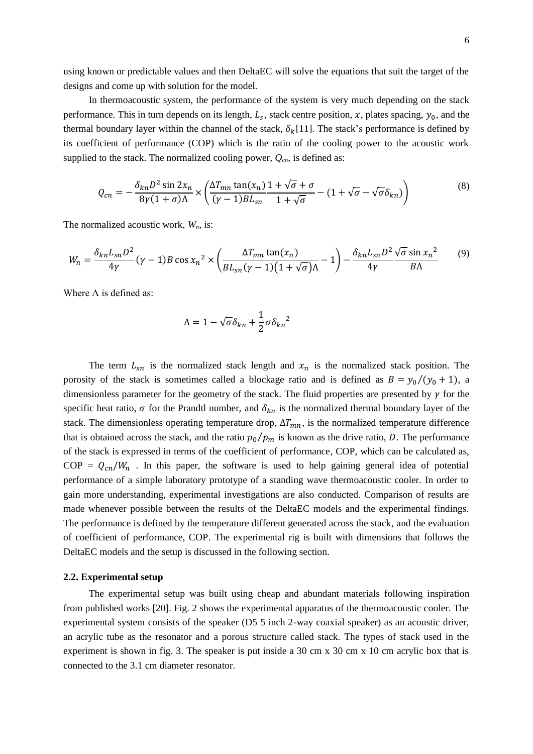using known or predictable values and then DeltaEC will solve the equations that suit the target of the designs and come up with solution for the model.

In thermoacoustic system, the performance of the system is very much depending on the stack performance. This in turn depends on its length,  $L_s$ , stack centre position, x, plates spacing,  $y_0$ , and the thermal boundary layer within the channel of the stack,  $\delta_k[11]$ . The stack's performance is defined by its coefficient of performance (COP) which is the ratio of the cooling power to the acoustic work supplied to the stack. The normalized cooling power,  $Q_{cn}$ , is defined as:

$$
Q_{cn} = -\frac{\delta_{kn} D^2 \sin 2x_n}{8\gamma (1+\sigma)\Lambda} \times \left(\frac{\Delta T_{mn} \tan(x_n)}{(\gamma-1)BL_{sn}} \frac{1+\sqrt{\sigma}+\sigma}{1+\sqrt{\sigma}} - (1+\sqrt{\sigma}-\sqrt{\sigma}\delta_{kn})\right)
$$
(8)

The normalized acoustic work, *Wn*, is:

$$
W_n = \frac{\delta_{kn} L_{sn} D^2}{4\gamma} (\gamma - 1) B \cos \chi_n^2 \times \left( \frac{\Delta T_{mn} \tan(\chi_n)}{B L_{sn} (\gamma - 1) (1 + \sqrt{\sigma}) \Lambda} - 1 \right) - \frac{\delta_{kn} L_{sn} D^2 \sqrt{\sigma} \sin \chi_n^2}{4\gamma} \tag{9}
$$

Where  $\Lambda$  is defined as:

$$
\Lambda = 1 - \sqrt{\sigma} \delta_{kn} + \frac{1}{2} \sigma \delta_{kn}^2
$$

The term  $L_{sn}$  is the normalized stack length and  $x_n$  is the normalized stack position. The porosity of the stack is sometimes called a blockage ratio and is defined as  $B = y_0/(y_0 + 1)$ , a dimensionless parameter for the geometry of the stack. The fluid properties are presented by  $\gamma$  for the specific heat ratio,  $\sigma$  for the Prandtl number, and  $\delta_{kn}$  is the normalized thermal boundary layer of the stack. The dimensionless operating temperature drop,  $\Delta T_{mn}$ , is the normalized temperature difference that is obtained across the stack, and the ratio  $p_0/p_m$  is known as the drive ratio, D. The performance of the stack is expressed in terms of the coefficient of performance, COP, which can be calculated as,  $COP = Q_{cn}/W_n$ . In this paper, the software is used to help gaining general idea of potential performance of a simple laboratory prototype of a standing wave thermoacoustic cooler. In order to gain more understanding, experimental investigations are also conducted. Comparison of results are made whenever possible between the results of the DeltaEC models and the experimental findings. The performance is defined by the temperature different generated across the stack, and the evaluation of coefficient of performance, COP. The experimental rig is built with dimensions that follows the DeltaEC models and the setup is discussed in the following section.

#### **2.2. Experimental setup**

The experimental setup was built using cheap and abundant materials following inspiration from published works [20]. Fig. 2 shows the experimental apparatus of the thermoacoustic cooler. The experimental system consists of the speaker (D5 5 inch 2-way coaxial speaker) as an acoustic driver, an acrylic tube as the resonator and a porous structure called stack. The types of stack used in the experiment is shown in fig. 3. The speaker is put inside a 30 cm x 30 cm x 10 cm acrylic box that is connected to the 3.1 cm diameter resonator.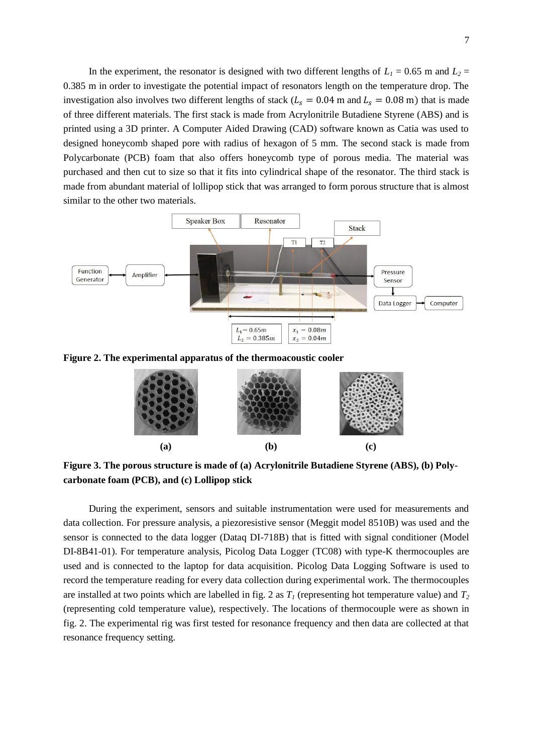In the experiment, the resonator is designed with two different lengths of  $L_1 = 0.65$  m and  $L_2 =$ 0.385 m in order to investigate the potential impact of resonators length on the temperature drop. The investigation also involves two different lengths of stack ( $L_s = 0.04$  m and  $L_s = 0.08$  m) that is made of three different materials. The first stack is made from Acrylonitrile Butadiene Styrene (ABS) and is printed using a 3D printer. A Computer Aided Drawing (CAD) software known as Catia was used to designed honeycomb shaped pore with radius of hexagon of 5 mm. The second stack is made from Polycarbonate (PCB) foam that also offers honeycomb type of porous media. The material was purchased and then cut to size so that it fits into cylindrical shape of the resonator. The third stack is made from abundant material of lollipop stick that was arranged to form porous structure that is almost similar to the other two materials.



**Figure 2. The experimental apparatus of the thermoacoustic cooler**



**Figure 3. The porous structure is made of (a) Acrylonitrile Butadiene Styrene (ABS), (b) Polycarbonate foam (PCB), and (c) Lollipop stick**

During the experiment, sensors and suitable instrumentation were used for measurements and data collection. For pressure analysis, a piezoresistive sensor (Meggit model 8510B) was used and the sensor is connected to the data logger (Dataq DI-718B) that is fitted with signal conditioner (Model DI-8B41-01). For temperature analysis, Picolog Data Logger (TC08) with type-K thermocouples are used and is connected to the laptop for data acquisition. Picolog Data Logging Software is used to record the temperature reading for every data collection during experimental work. The thermocouples are installed at two points which are labelled in fig. 2 as  $T_I$  (representing hot temperature value) and  $T_2$ (representing cold temperature value), respectively. The locations of thermocouple were as shown in fig. 2. The experimental rig was first tested for resonance frequency and then data are collected at that resonance frequency setting.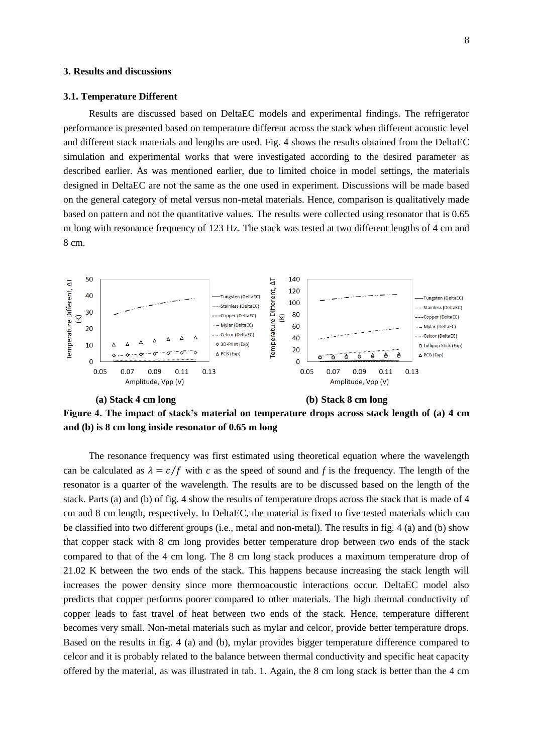## **3. Results and discussions**

#### **3.1. Temperature Different**

Results are discussed based on DeltaEC models and experimental findings. The refrigerator performance is presented based on temperature different across the stack when different acoustic level and different stack materials and lengths are used. Fig. 4 shows the results obtained from the DeltaEC simulation and experimental works that were investigated according to the desired parameter as described earlier. As was mentioned earlier, due to limited choice in model settings, the materials designed in DeltaEC are not the same as the one used in experiment. Discussions will be made based on the general category of metal versus non-metal materials. Hence, comparison is qualitatively made based on pattern and not the quantitative values. The results were collected using resonator that is 0.65 m long with resonance frequency of 123 Hz. The stack was tested at two different lengths of 4 cm and 8 cm.



**Figure 4. The impact of stack's material on temperature drops across stack length of (a) 4 cm and (b) is 8 cm long inside resonator of 0.65 m long**

The resonance frequency was first estimated using theoretical equation where the wavelength can be calculated as  $\lambda = c/f$  with c as the speed of sound and f is the frequency. The length of the resonator is a quarter of the wavelength. The results are to be discussed based on the length of the stack. Parts (a) and (b) of fig. 4 show the results of temperature drops across the stack that is made of 4 cm and 8 cm length, respectively. In DeltaEC, the material is fixed to five tested materials which can be classified into two different groups (i.e., metal and non-metal). The results in fig. 4 (a) and (b) show that copper stack with 8 cm long provides better temperature drop between two ends of the stack compared to that of the 4 cm long. The 8 cm long stack produces a maximum temperature drop of 21.02 K between the two ends of the stack. This happens because increasing the stack length will increases the power density since more thermoacoustic interactions occur. DeltaEC model also predicts that copper performs poorer compared to other materials. The high thermal conductivity of copper leads to fast travel of heat between two ends of the stack. Hence, temperature different becomes very small. Non-metal materials such as mylar and celcor, provide better temperature drops. Based on the results in fig. 4 (a) and (b), mylar provides bigger temperature difference compared to celcor and it is probably related to the balance between thermal conductivity and specific heat capacity offered by the material, as was illustrated in tab. 1. Again, the 8 cm long stack is better than the 4 cm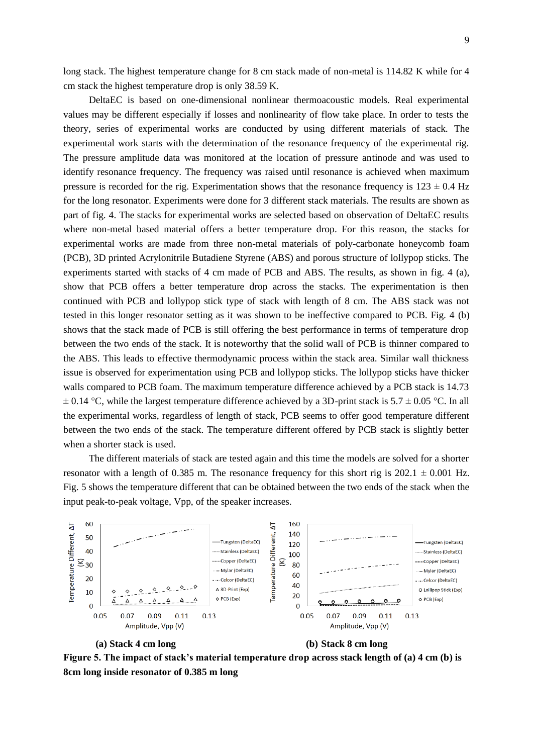long stack. The highest temperature change for 8 cm stack made of non-metal is  $114.82$  K while for 4 cm stack the highest temperature drop is only 38.59 K.

DeltaEC is based on one-dimensional nonlinear thermoacoustic models. Real experimental values may be different especially if losses and nonlinearity of flow take place. In order to tests the theory, series of experimental works are conducted by using different materials of stack. The experimental work starts with the determination of the resonance frequency of the experimental rig. The pressure amplitude data was monitored at the location of pressure antinode and was used to identify resonance frequency. The frequency was raised until resonance is achieved when maximum pressure is recorded for the rig. Experimentation shows that the resonance frequency is  $123 \pm 0.4$  Hz for the long resonator. Experiments were done for 3 different stack materials. The results are shown as part of fig. 4. The stacks for experimental works are selected based on observation of DeltaEC results where non-metal based material offers a better temperature drop. For this reason, the stacks for experimental works are made from three non-metal materials of poly-carbonate honeycomb foam (PCB), 3D printed Acrylonitrile Butadiene Styrene (ABS) and porous structure of lollypop sticks. The experiments started with stacks of 4 cm made of PCB and ABS. The results, as shown in fig. 4 (a), show that PCB offers a better temperature drop across the stacks. The experimentation is then continued with PCB and lollypop stick type of stack with length of 8 cm. The ABS stack was not tested in this longer resonator setting as it was shown to be ineffective compared to PCB. Fig. 4 (b) shows that the stack made of PCB is still offering the best performance in terms of temperature drop between the two ends of the stack. It is noteworthy that the solid wall of PCB is thinner compared to the ABS. This leads to effective thermodynamic process within the stack area. Similar wall thickness issue is observed for experimentation using PCB and lollypop sticks. The lollypop sticks have thicker walls compared to PCB foam. The maximum temperature difference achieved by a PCB stack is 14.73  $\pm$  0.14 °C, while the largest temperature difference achieved by a 3D-print stack is 5.7  $\pm$  0.05 °C. In all the experimental works, regardless of length of stack, PCB seems to offer good temperature different between the two ends of the stack. The temperature different offered by PCB stack is slightly better when a shorter stack is used.

The different materials of stack are tested again and this time the models are solved for a shorter resonator with a length of 0.385 m. The resonance frequency for this short rig is  $202.1 \pm 0.001$  Hz. Fig. 5 shows the temperature different that can be obtained between the two ends of the stack when the input peak-to-peak voltage, Vpp, of the speaker increases.



# **(a) Stack 4 cm long (b) Stack 8 cm long**

**Figure 5. The impact of stack's material temperature drop across stack length of (a) 4 cm (b) is 8cm long inside resonator of 0.385 m long**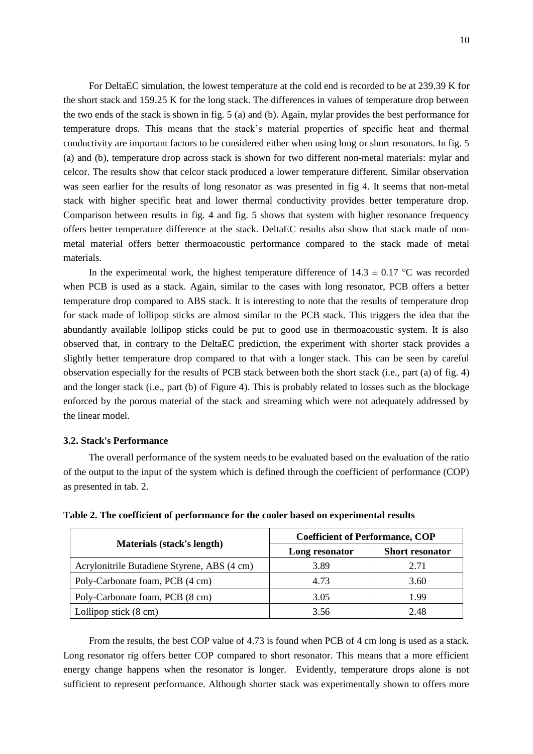For DeltaEC simulation, the lowest temperature at the cold end is recorded to be at 239.39 K for the short stack and 159.25 K for the long stack. The differences in values of temperature drop between the two ends of the stack is shown in fig. 5 (a) and (b). Again, mylar provides the best performance for temperature drops. This means that the stack's material properties of specific heat and thermal conductivity are important factors to be considered either when using long or short resonators. In fig. 5 (a) and (b), temperature drop across stack is shown for two different non-metal materials: mylar and celcor. The results show that celcor stack produced a lower temperature different. Similar observation was seen earlier for the results of long resonator as was presented in fig 4. It seems that non-metal stack with higher specific heat and lower thermal conductivity provides better temperature drop. Comparison between results in fig. 4 and fig. 5 shows that system with higher resonance frequency offers better temperature difference at the stack. DeltaEC results also show that stack made of nonmetal material offers better thermoacoustic performance compared to the stack made of metal materials.

In the experimental work, the highest temperature difference of  $14.3 \pm 0.17$  °C was recorded when PCB is used as a stack. Again, similar to the cases with long resonator, PCB offers a better temperature drop compared to ABS stack. It is interesting to note that the results of temperature drop for stack made of lollipop sticks are almost similar to the PCB stack. This triggers the idea that the abundantly available lollipop sticks could be put to good use in thermoacoustic system. It is also observed that, in contrary to the DeltaEC prediction, the experiment with shorter stack provides a slightly better temperature drop compared to that with a longer stack. This can be seen by careful observation especially for the results of PCB stack between both the short stack (i.e., part (a) of fig. 4) and the longer stack (i.e., part (b) of Figure 4). This is probably related to losses such as the blockage enforced by the porous material of the stack and streaming which were not adequately addressed by the linear model.

# **3.2. Stack's Performance**

The overall performance of the system needs to be evaluated based on the evaluation of the ratio of the output to the input of the system which is defined through the coefficient of performance (COP) as presented in tab. 2.

|                                             | <b>Coefficient of Performance, COP</b> |                        |
|---------------------------------------------|----------------------------------------|------------------------|
| <b>Materials (stack's length)</b>           | Long resonator                         | <b>Short resonator</b> |
| Acrylonitrile Butadiene Styrene, ABS (4 cm) | 3.89                                   | 2.71                   |
| Poly-Carbonate foam, PCB (4 cm)             | 4.73                                   | 3.60                   |
| Poly-Carbonate foam, PCB (8 cm)             | 3.05                                   | 1.99                   |
| Lollipop stick $(8 \text{ cm})$             | 3.56                                   | 2.48                   |

**Table 2. The coefficient of performance for the cooler based on experimental results**

From the results, the best COP value of 4.73 is found when PCB of 4 cm long is used as a stack. Long resonator rig offers better COP compared to short resonator. This means that a more efficient energy change happens when the resonator is longer. Evidently, temperature drops alone is not sufficient to represent performance. Although shorter stack was experimentally shown to offers more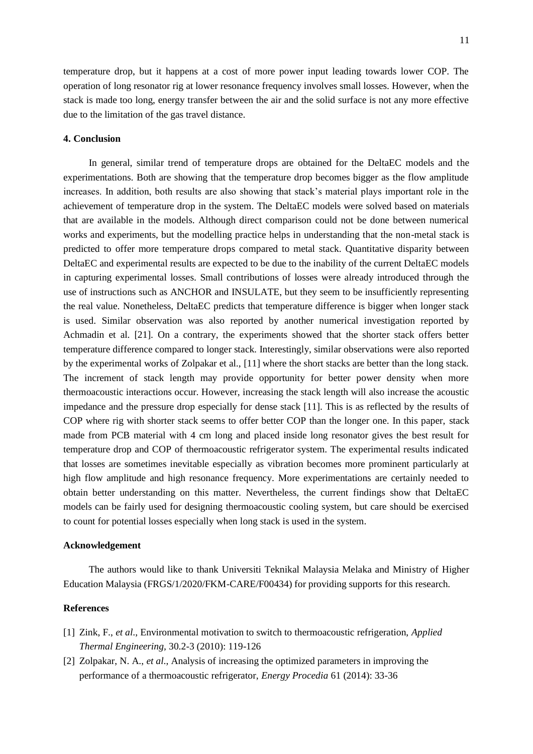temperature drop, but it happens at a cost of more power input leading towards lower COP. The operation of long resonator rig at lower resonance frequency involves small losses. However, when the stack is made too long, energy transfer between the air and the solid surface is not any more effective due to the limitation of the gas travel distance.

## **4. Conclusion**

In general, similar trend of temperature drops are obtained for the DeltaEC models and the experimentations. Both are showing that the temperature drop becomes bigger as the flow amplitude increases. In addition, both results are also showing that stack's material plays important role in the achievement of temperature drop in the system. The DeltaEC models were solved based on materials that are available in the models. Although direct comparison could not be done between numerical works and experiments, but the modelling practice helps in understanding that the non-metal stack is predicted to offer more temperature drops compared to metal stack. Quantitative disparity between DeltaEC and experimental results are expected to be due to the inability of the current DeltaEC models in capturing experimental losses. Small contributions of losses were already introduced through the use of instructions such as ANCHOR and INSULATE, but they seem to be insufficiently representing the real value. Nonetheless, DeltaEC predicts that temperature difference is bigger when longer stack is used. Similar observation was also reported by another numerical investigation reported by Achmadin et al. [21]. On a contrary, the experiments showed that the shorter stack offers better temperature difference compared to longer stack. Interestingly, similar observations were also reported by the experimental works of Zolpakar et al., [11] where the short stacks are better than the long stack. The increment of stack length may provide opportunity for better power density when more thermoacoustic interactions occur. However, increasing the stack length will also increase the acoustic impedance and the pressure drop especially for dense stack [11]. This is as reflected by the results of COP where rig with shorter stack seems to offer better COP than the longer one. In this paper, stack made from PCB material with 4 cm long and placed inside long resonator gives the best result for temperature drop and COP of thermoacoustic refrigerator system. The experimental results indicated that losses are sometimes inevitable especially as vibration becomes more prominent particularly at high flow amplitude and high resonance frequency. More experimentations are certainly needed to obtain better understanding on this matter. Nevertheless, the current findings show that DeltaEC models can be fairly used for designing thermoacoustic cooling system, but care should be exercised to count for potential losses especially when long stack is used in the system.

## **Acknowledgement**

The authors would like to thank Universiti Teknikal Malaysia Melaka and Ministry of Higher Education Malaysia (FRGS/1/2020/FKM-CARE/F00434) for providing supports for this research.

# **References**

- [1] Zink, F., *et al*., Environmental motivation to switch to thermoacoustic refrigeration, *Applied Thermal Engineering,* 30.2-3 (2010): 119-126
- [2] Zolpakar, N. A., *et al*., Analysis of increasing the optimized parameters in improving the performance of a thermoacoustic refrigerator, *Energy Procedia* 61 (2014): 33-36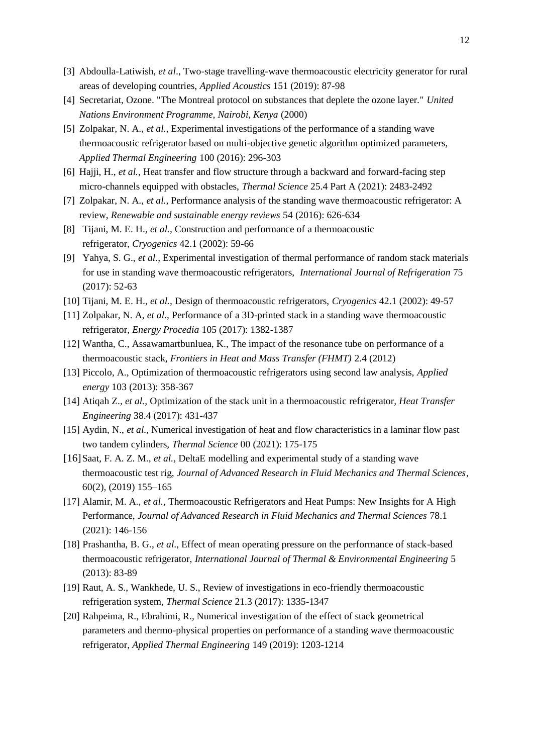- [3] Abdoulla-Latiwish, *et al*., Two-stage travelling-wave thermoacoustic electricity generator for rural areas of developing countries, *Applied Acoustics* 151 (2019): 87-98
- [4] Secretariat, Ozone. "The Montreal protocol on substances that deplete the ozone layer." *United Nations Environment Programme, Nairobi, Kenya* (2000)
- [5] Zolpakar, N. A., *et al.,* Experimental investigations of the performance of a standing wave thermoacoustic refrigerator based on multi-objective genetic algorithm optimized parameters, *Applied Thermal Engineering* 100 (2016): 296-303
- [6] Hajji, H., *et al.,* Heat transfer and flow structure through a backward and forward-facing step micro-channels equipped with obstacles, *Thermal Science* 25.4 Part A (2021): 2483-2492
- [7] Zolpakar, N. A., *et al.,* Performance analysis of the standing wave thermoacoustic refrigerator: A review, *Renewable and sustainable energy reviews* 54 (2016): 626-634
- [8] Tijani, M. E. H., *et al.,* Construction and performance of a thermoacoustic refrigerator, *Cryogenics* 42.1 (2002): 59-66
- [9] Yahya, S. G., *et al.,* Experimental investigation of thermal performance of random stack materials for use in standing wave thermoacoustic refrigerators, *International Journal of Refrigeration* 75 (2017): 52-63
- [10] Tijani, M. E. H., *et al.,* Design of thermoacoustic refrigerators, *Cryogenics* 42.1 (2002): 49-57
- [11] Zolpakar, N. A, *et al*., Performance of a 3D-printed stack in a standing wave thermoacoustic refrigerator, *Energy Procedia* 105 (2017): 1382-1387
- [12] Wantha, C., Assawamartbunluea, K., The impact of the resonance tube on performance of a thermoacoustic stack, *Frontiers in Heat and Mass Transfer (FHMT)* 2.4 (2012)
- [13] Piccolo, A., Optimization of thermoacoustic refrigerators using second law analysis, *Applied energy* 103 (2013): 358-367
- [14] Atiqah Z., *et al.,* Optimization of the stack unit in a thermoacoustic refrigerator, *Heat Transfer Engineering* 38.4 (2017): 431-437
- [15] Aydin, N., *et al.,* Numerical investigation of heat and flow characteristics in a laminar flow past two tandem cylinders, *Thermal Science* 00 (2021): 175-175
- [16]Saat, F. A. Z. M., *et al.,* DeltaE modelling and experimental study of a standing wave thermoacoustic test rig, *Journal of Advanced Research in Fluid Mechanics and Thermal Sciences*, 60(2), (2019) 155–165
- [17] Alamir, M. A., *et al.,* Thermoacoustic Refrigerators and Heat Pumps: New Insights for A High Performance, *Journal of Advanced Research in Fluid Mechanics and Thermal Sciences* 78.1 (2021): 146-156
- [18] Prashantha, B. G., *et al*., Effect of mean operating pressure on the performance of stack-based thermoacoustic refrigerator, *International Journal of Thermal & Environmental Engineering* 5 (2013): 83-89
- [19] Raut, A. S., Wankhede, U. S., Review of investigations in eco-friendly thermoacoustic refrigeration system, *Thermal Science* 21.3 (2017): 1335-1347
- [20] Rahpeima, R., Ebrahimi, R., Numerical investigation of the effect of stack geometrical parameters and thermo-physical properties on performance of a standing wave thermoacoustic refrigerator, *Applied Thermal Engineering* 149 (2019): 1203-1214